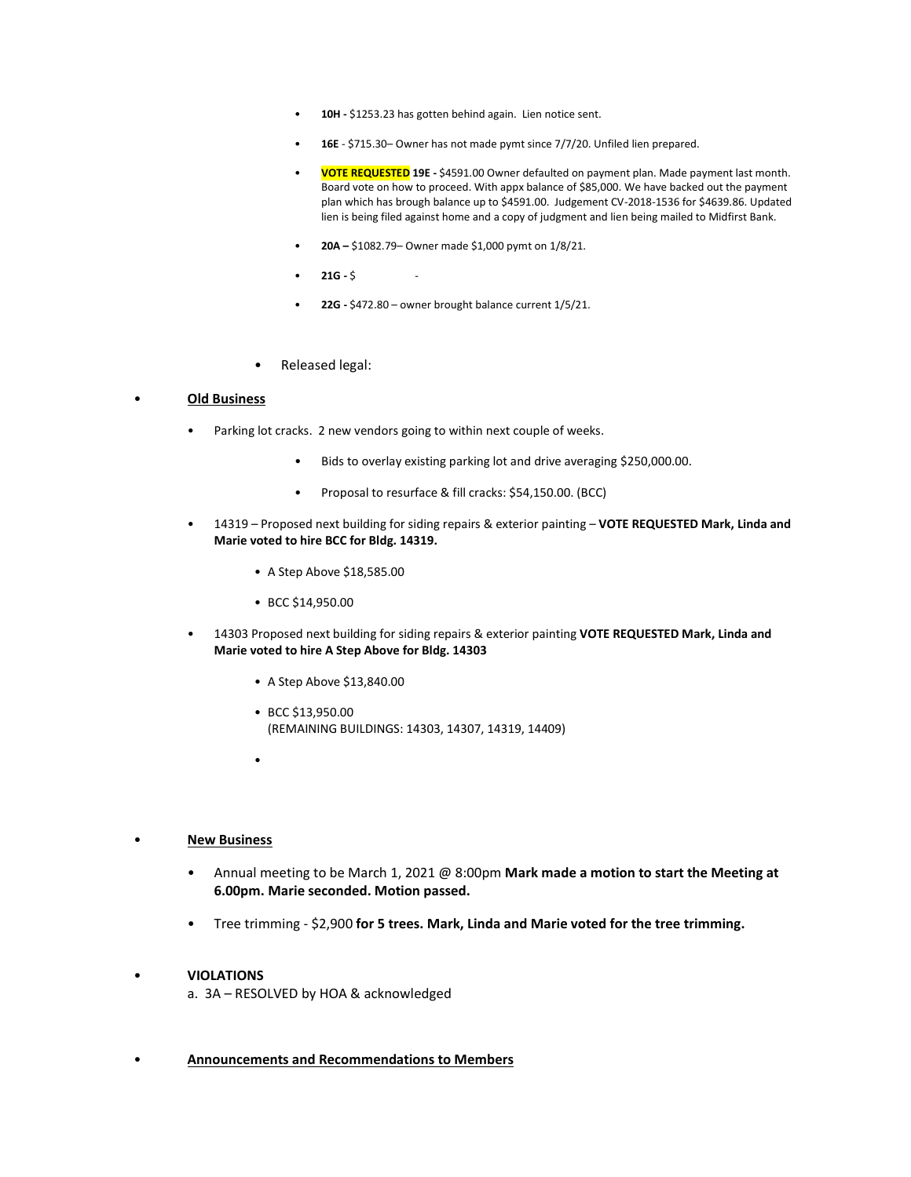- **10H -** \$1253.23 has gotten behind again. Lien notice sent.
- **16E**  \$715.30– Owner has not made pymt since 7/7/20. Unfiled lien prepared.
- **VOTE REQUESTED 19E -** \$4591.00 Owner defaulted on payment plan. Made payment last month. Board vote on how to proceed. With appx balance of \$85,000. We have backed out the payment plan which has brough balance up to \$4591.00. Judgement CV-2018-1536 for \$4639.86. Updated lien is being filed against home and a copy of judgment and lien being mailed to Midfirst Bank.
- **20A –** \$1082.79– Owner made \$1,000 pymt on 1/8/21.
- **21G -** \$ -
- **22G -** \$472.80 owner brought balance current 1/5/21.
- Released legal:

#### • **Old Business**

- Parking lot cracks. 2 new vendors going to within next couple of weeks.
	- Bids to overlay existing parking lot and drive averaging \$250,000.00.
	- Proposal to resurface & fill cracks: \$54,150.00. (BCC)
- 14319 Proposed next building for siding repairs & exterior painting **VOTE REQUESTED Mark, Linda and Marie voted to hire BCC for Bldg. 14319.**
	- A Step Above \$18,585.00
	- BCC \$14,950.00
- 14303 Proposed next building for siding repairs & exterior painting **VOTE REQUESTED Mark, Linda and Marie voted to hire A Step Above for Bldg. 14303**
	- A Step Above \$13,840.00
	- BCC \$13,950.00 (REMAINING BUILDINGS: 14303, 14307, 14319, 14409)
	- •

#### • **New Business**

- Annual meeting to be March 1, 2021 @ 8:00pm **Mark made a motion to start the Meeting at 6.00pm. Marie seconded. Motion passed.**
- Tree trimming \$2,900 **for 5 trees. Mark, Linda and Marie voted for the tree trimming.**

#### • **VIOLATIONS**

a. 3A – RESOLVED by HOA & acknowledged

• **Announcements and Recommendations to Members**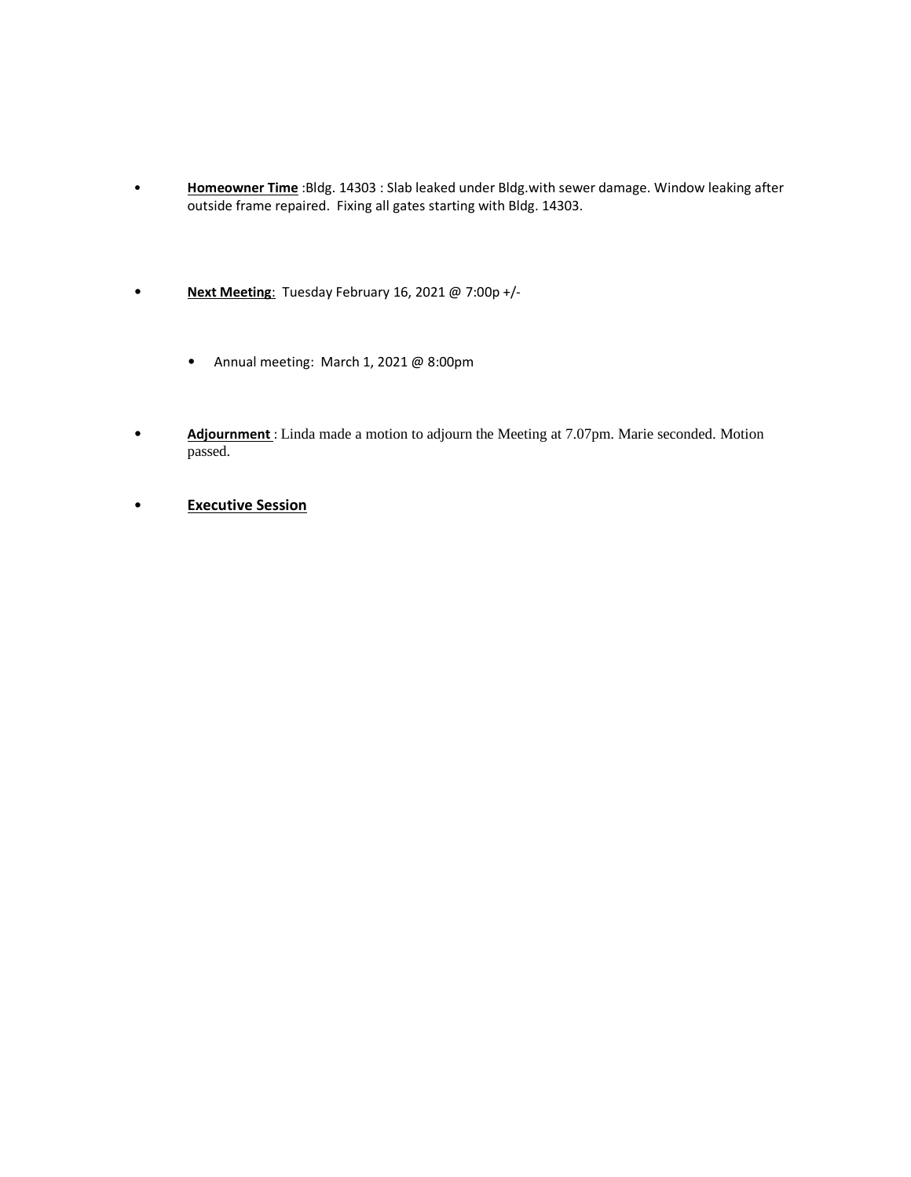- **Homeowner Time** :Bldg. 14303 : Slab leaked under Bldg.with sewer damage. Window leaking after outside frame repaired. Fixing all gates starting with Bldg. 14303.
- **Next Meeting**: Tuesday February 16, 2021 @ 7:00p +/-
	- Annual meeting: March 1, 2021 @ 8:00pm
- **Adjournment** : Linda made a motion to adjourn the Meeting at 7.07pm. Marie seconded. Motion passed.
- **Executive Session**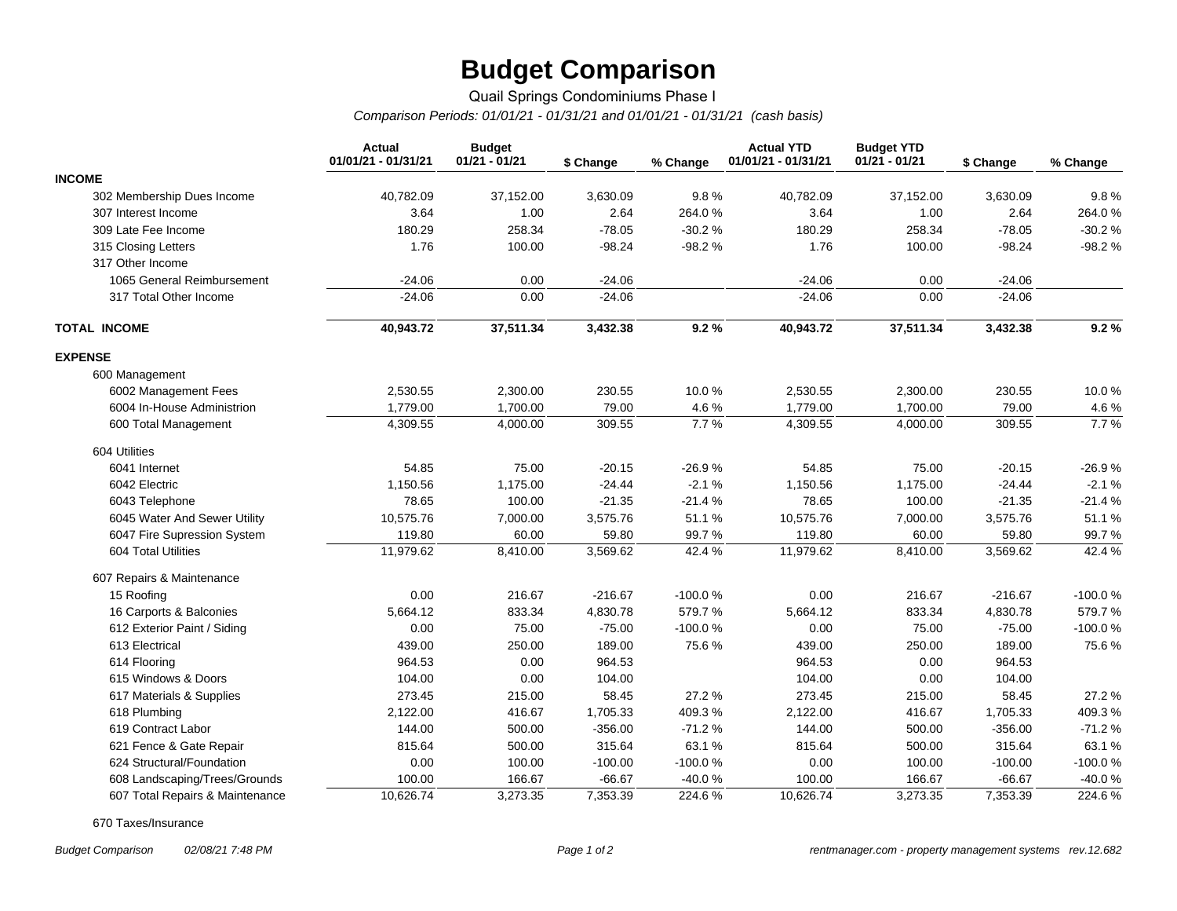# **Budget Comparison**

## Quail Springs Condominiums Phase I

*Comparison Periods: 01/01/21 - 01/31/21 and 01/01/21 - 01/31/21 (cash basis)*

|                                 | <b>Actual</b><br>01/01/21 - 01/31/21 | <b>Budget</b><br>$01/21 - 01/21$ | \$ Change | % Change  | <b>Actual YTD</b><br>01/01/21 - 01/31/21 | <b>Budget YTD</b><br>$01/21 - 01/21$ | \$ Change | % Change  |
|---------------------------------|--------------------------------------|----------------------------------|-----------|-----------|------------------------------------------|--------------------------------------|-----------|-----------|
| <b>INCOME</b>                   |                                      |                                  |           |           |                                          |                                      |           |           |
| 302 Membership Dues Income      | 40,782.09                            | 37,152.00                        | 3,630.09  | 9.8%      | 40,782.09                                | 37,152.00                            | 3,630.09  | 9.8%      |
| 307 Interest Income             | 3.64                                 | 1.00                             | 2.64      | 264.0%    | 3.64                                     | 1.00                                 | 2.64      | 264.0%    |
| 309 Late Fee Income             | 180.29                               | 258.34                           | $-78.05$  | $-30.2%$  | 180.29                                   | 258.34                               | $-78.05$  | $-30.2%$  |
| 315 Closing Letters             | 1.76                                 | 100.00                           | $-98.24$  | $-98.2%$  | 1.76                                     | 100.00                               | $-98.24$  | $-98.2%$  |
| 317 Other Income                |                                      |                                  |           |           |                                          |                                      |           |           |
| 1065 General Reimbursement      | $-24.06$                             | 0.00                             | $-24.06$  |           | $-24.06$                                 | 0.00                                 | $-24.06$  |           |
| 317 Total Other Income          | $-24.06$                             | 0.00                             | $-24.06$  |           | $-24.06$                                 | 0.00                                 | $-24.06$  |           |
| <b>TOTAL INCOME</b>             | 40,943.72                            | 37,511.34                        | 3,432.38  | 9.2%      | 40,943.72                                | 37,511.34                            | 3,432.38  | 9.2%      |
| <b>EXPENSE</b>                  |                                      |                                  |           |           |                                          |                                      |           |           |
| 600 Management                  |                                      |                                  |           |           |                                          |                                      |           |           |
| 6002 Management Fees            | 2,530.55                             | 2,300.00                         | 230.55    | 10.0%     | 2,530.55                                 | 2,300.00                             | 230.55    | 10.0%     |
| 6004 In-House Administrion      | 1,779.00                             | 1,700.00                         | 79.00     | 4.6%      | 1,779.00                                 | 1,700.00                             | 79.00     | 4.6%      |
| 600 Total Management            | 4,309.55                             | 4,000.00                         | 309.55    | 7.7%      | 4,309.55                                 | 4,000.00                             | 309.55    | 7.7%      |
| 604 Utilities                   |                                      |                                  |           |           |                                          |                                      |           |           |
| 6041 Internet                   | 54.85                                | 75.00                            | $-20.15$  | $-26.9%$  | 54.85                                    | 75.00                                | $-20.15$  | $-26.9%$  |
| 6042 Electric                   | 1,150.56                             | 1,175.00                         | $-24.44$  | $-2.1%$   | 1,150.56                                 | 1,175.00                             | $-24.44$  | $-2.1%$   |
| 6043 Telephone                  | 78.65                                | 100.00                           | $-21.35$  | $-21.4%$  | 78.65                                    | 100.00                               | $-21.35$  | $-21.4%$  |
| 6045 Water And Sewer Utility    | 10,575.76                            | 7,000.00                         | 3,575.76  | 51.1%     | 10,575.76                                | 7,000.00                             | 3,575.76  | 51.1%     |
| 6047 Fire Supression System     | 119.80                               | 60.00                            | 59.80     | 99.7%     | 119.80                                   | 60.00                                | 59.80     | 99.7%     |
| 604 Total Utilities             | 11,979.62                            | 8,410.00                         | 3,569.62  | 42.4%     | 11,979.62                                | 8,410.00                             | 3,569.62  | 42.4%     |
| 607 Repairs & Maintenance       |                                      |                                  |           |           |                                          |                                      |           |           |
| 15 Roofing                      | 0.00                                 | 216.67                           | $-216.67$ | $-100.0%$ | 0.00                                     | 216.67                               | $-216.67$ | $-100.0%$ |
| 16 Carports & Balconies         | 5,664.12                             | 833.34                           | 4,830.78  | 579.7%    | 5,664.12                                 | 833.34                               | 4,830.78  | 579.7%    |
| 612 Exterior Paint / Siding     | 0.00                                 | 75.00                            | $-75.00$  | $-100.0%$ | 0.00                                     | 75.00                                | $-75.00$  | $-100.0%$ |
| 613 Electrical                  | 439.00                               | 250.00                           | 189.00    | 75.6%     | 439.00                                   | 250.00                               | 189.00    | 75.6%     |
| 614 Flooring                    | 964.53                               | 0.00                             | 964.53    |           | 964.53                                   | 0.00                                 | 964.53    |           |
| 615 Windows & Doors             | 104.00                               | 0.00                             | 104.00    |           | 104.00                                   | 0.00                                 | 104.00    |           |
| 617 Materials & Supplies        | 273.45                               | 215.00                           | 58.45     | 27.2%     | 273.45                                   | 215.00                               | 58.45     | 27.2%     |
| 618 Plumbing                    | 2,122.00                             | 416.67                           | 1,705.33  | 409.3%    | 2,122.00                                 | 416.67                               | 1,705.33  | 409.3%    |
| 619 Contract Labor              | 144.00                               | 500.00                           | $-356.00$ | $-71.2%$  | 144.00                                   | 500.00                               | $-356.00$ | $-71.2%$  |
| 621 Fence & Gate Repair         | 815.64                               | 500.00                           | 315.64    | 63.1%     | 815.64                                   | 500.00                               | 315.64    | 63.1%     |
| 624 Structural/Foundation       | 0.00                                 | 100.00                           | $-100.00$ | -100.0%   | 0.00                                     | 100.00                               | $-100.00$ | -100.0%   |
| 608 Landscaping/Trees/Grounds   | 100.00                               | 166.67                           | $-66.67$  | $-40.0%$  | 100.00                                   | 166.67                               | $-66.67$  | -40.0%    |
| 607 Total Repairs & Maintenance | 10,626.74                            | 3,273.35                         | 7,353.39  | 224.6%    | 10,626.74                                | 3,273.35                             | 7,353.39  | 224.6%    |

670 Taxes/Insurance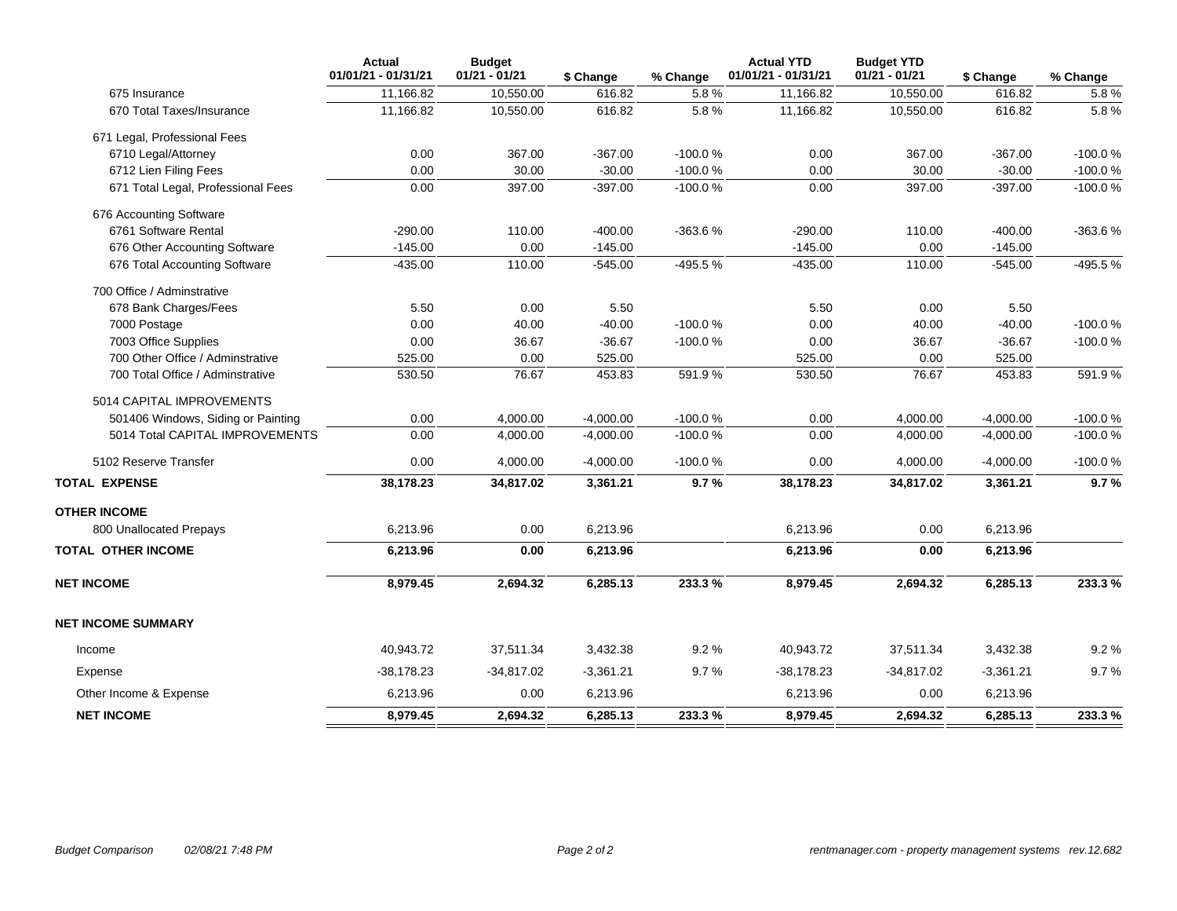|                                    | <b>Actual</b><br>01/01/21 - 01/31/21 | <b>Budget</b><br>$01/21 - 01/21$ | \$ Change   | % Change  | <b>Actual YTD</b><br>01/01/21 - 01/31/21 | <b>Budget YTD</b><br>$01/21 - 01/21$ | \$ Change   | % Change  |
|------------------------------------|--------------------------------------|----------------------------------|-------------|-----------|------------------------------------------|--------------------------------------|-------------|-----------|
| 675 Insurance                      | 11,166.82                            | 10,550.00                        | 616.82      | 5.8%      | 11,166.82                                | 10,550.00                            | 616.82      | 5.8%      |
| 670 Total Taxes/Insurance          | 11,166.82                            | 10,550.00                        | 616.82      | 5.8%      | 11,166.82                                | 10,550.00                            | 616.82      | 5.8%      |
| 671 Legal, Professional Fees       |                                      |                                  |             |           |                                          |                                      |             |           |
| 6710 Legal/Attorney                | 0.00                                 | 367.00                           | $-367.00$   | $-100.0%$ | 0.00                                     | 367.00                               | $-367.00$   | $-100.0%$ |
| 6712 Lien Filing Fees              | 0.00                                 | 30.00                            | $-30.00$    | $-100.0%$ | 0.00                                     | 30.00                                | $-30.00$    | $-100.0%$ |
| 671 Total Legal, Professional Fees | 0.00                                 | 397.00                           | $-397.00$   | $-100.0%$ | 0.00                                     | 397.00                               | $-397.00$   | $-100.0%$ |
| 676 Accounting Software            |                                      |                                  |             |           |                                          |                                      |             |           |
| 6761 Software Rental               | $-290.00$                            | 110.00                           | $-400.00$   | $-363.6%$ | $-290.00$                                | 110.00                               | $-400.00$   | -363.6%   |
| 676 Other Accounting Software      | $-145.00$                            | 0.00                             | $-145.00$   |           | $-145.00$                                | 0.00                                 | $-145.00$   |           |
| 676 Total Accounting Software      | $-435.00$                            | 110.00                           | $-545.00$   | -495.5%   | $-435.00$                                | 110.00                               | $-545.00$   | -495.5%   |
| 700 Office / Adminstrative         |                                      |                                  |             |           |                                          |                                      |             |           |
| 678 Bank Charges/Fees              | 5.50                                 | 0.00                             | 5.50        |           | 5.50                                     | 0.00                                 | 5.50        |           |
| 7000 Postage                       | 0.00                                 | 40.00                            | $-40.00$    | $-100.0%$ | 0.00                                     | 40.00                                | $-40.00$    | $-100.0%$ |
| 7003 Office Supplies               | 0.00                                 | 36.67                            | $-36.67$    | $-100.0%$ | 0.00                                     | 36.67                                | $-36.67$    | $-100.0%$ |
| 700 Other Office / Adminstrative   | 525.00                               | 0.00                             | 525.00      |           | 525.00                                   | 0.00                                 | 525.00      |           |
| 700 Total Office / Adminstrative   | 530.50                               | 76.67                            | 453.83      | 591.9%    | 530.50                                   | 76.67                                | 453.83      | 591.9%    |
| 5014 CAPITAL IMPROVEMENTS          |                                      |                                  |             |           |                                          |                                      |             |           |
| 501406 Windows, Siding or Painting | 0.00                                 | 4,000.00                         | $-4,000.00$ | $-100.0%$ | 0.00                                     | 4,000.00                             | $-4,000.00$ | $-100.0%$ |
| 5014 Total CAPITAL IMPROVEMENTS    | 0.00                                 | 4,000.00                         | $-4,000.00$ | $-100.0%$ | 0.00                                     | 4,000.00                             | $-4,000.00$ | $-100.0%$ |
| 5102 Reserve Transfer              | 0.00                                 | 4,000.00                         | $-4,000.00$ | $-100.0%$ | 0.00                                     | 4,000.00                             | $-4,000.00$ | $-100.0%$ |
| <b>TOTAL EXPENSE</b>               | 38,178.23                            | 34,817.02                        | 3,361.21    | 9.7%      | 38,178.23                                | 34,817.02                            | 3,361.21    | 9.7%      |
| <b>OTHER INCOME</b>                |                                      |                                  |             |           |                                          |                                      |             |           |
| 800 Unallocated Prepays            | 6,213.96                             | 0.00                             | 6,213.96    |           | 6,213.96                                 | 0.00                                 | 6,213.96    |           |
| <b>TOTAL OTHER INCOME</b>          | 6,213.96                             | 0.00                             | 6,213.96    |           | 6,213.96                                 | 0.00                                 | 6,213.96    |           |
| <b>NET INCOME</b>                  | 8,979.45                             | 2,694.32                         | 6,285.13    | 233.3%    | 8,979.45                                 | 2,694.32                             | 6,285.13    | 233.3%    |
| <b>NET INCOME SUMMARY</b>          |                                      |                                  |             |           |                                          |                                      |             |           |
| Income                             | 40,943.72                            | 37,511.34                        | 3,432.38    | 9.2%      | 40,943.72                                | 37,511.34                            | 3,432.38    | 9.2%      |
| Expense                            | $-38,178.23$                         | $-34,817.02$                     | $-3,361.21$ | 9.7%      | $-38,178.23$                             | $-34,817.02$                         | $-3,361.21$ | 9.7%      |
| Other Income & Expense             | 6,213.96                             | 0.00                             | 6,213.96    |           | 6,213.96                                 | 0.00                                 | 6,213.96    |           |
| <b>NET INCOME</b>                  | 8.979.45                             | 2,694.32                         | 6,285.13    | 233.3%    | 8,979.45                                 | 2,694.32                             | 6,285.13    | 233.3%    |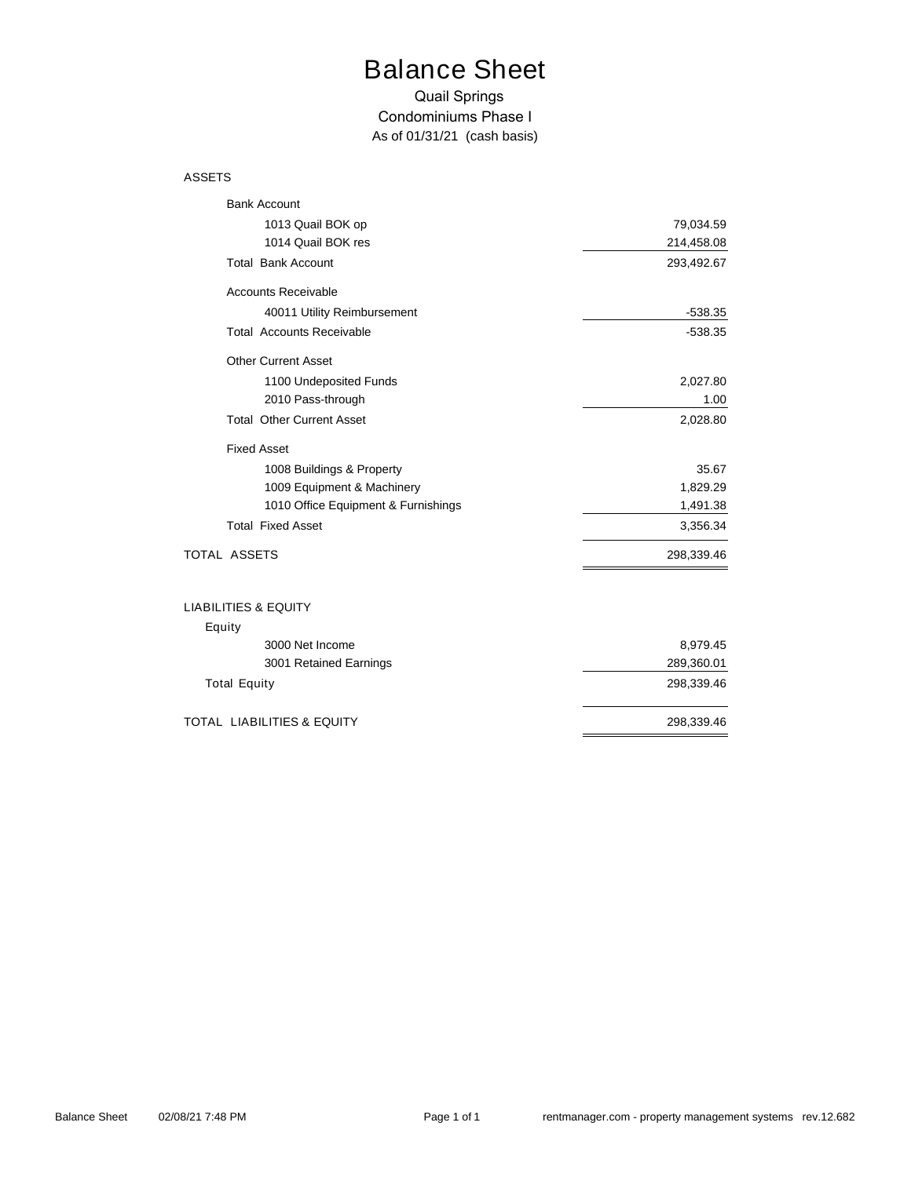# Balance Sheet

#### Quail Springs Condominiums Phase I *As of 01/31/21 (cash basis)*

#### ASSETS

| <b>Bank Account</b>                   |            |
|---------------------------------------|------------|
| 1013 Quail BOK op                     | 79,034.59  |
| 1014 Quail BOK res                    | 214,458.08 |
| <b>Total Bank Account</b>             | 293,492.67 |
| <b>Accounts Receivable</b>            |            |
| 40011 Utility Reimbursement           | $-538.35$  |
| <b>Total Accounts Receivable</b>      | $-538.35$  |
| <b>Other Current Asset</b>            |            |
| 1100 Undeposited Funds                | 2,027.80   |
| 2010 Pass-through                     | 1.00       |
| <b>Total Other Current Asset</b>      | 2,028.80   |
| <b>Fixed Asset</b>                    |            |
| 1008 Buildings & Property             | 35.67      |
| 1009 Equipment & Machinery            | 1,829.29   |
| 1010 Office Equipment & Furnishings   | 1,491.38   |
| <b>Total Fixed Asset</b>              | 3,356.34   |
| <b>TOTAL ASSETS</b>                   | 298,339.46 |
| <b>LIABILITIES &amp; EQUITY</b>       |            |
| Equity                                |            |
| 3000 Net Income                       | 8,979.45   |
| 3001 Retained Earnings                | 289,360.01 |
| <b>Total Equity</b>                   | 298,339.46 |
| <b>TOTAL LIABILITIES &amp; EQUITY</b> | 298,339.46 |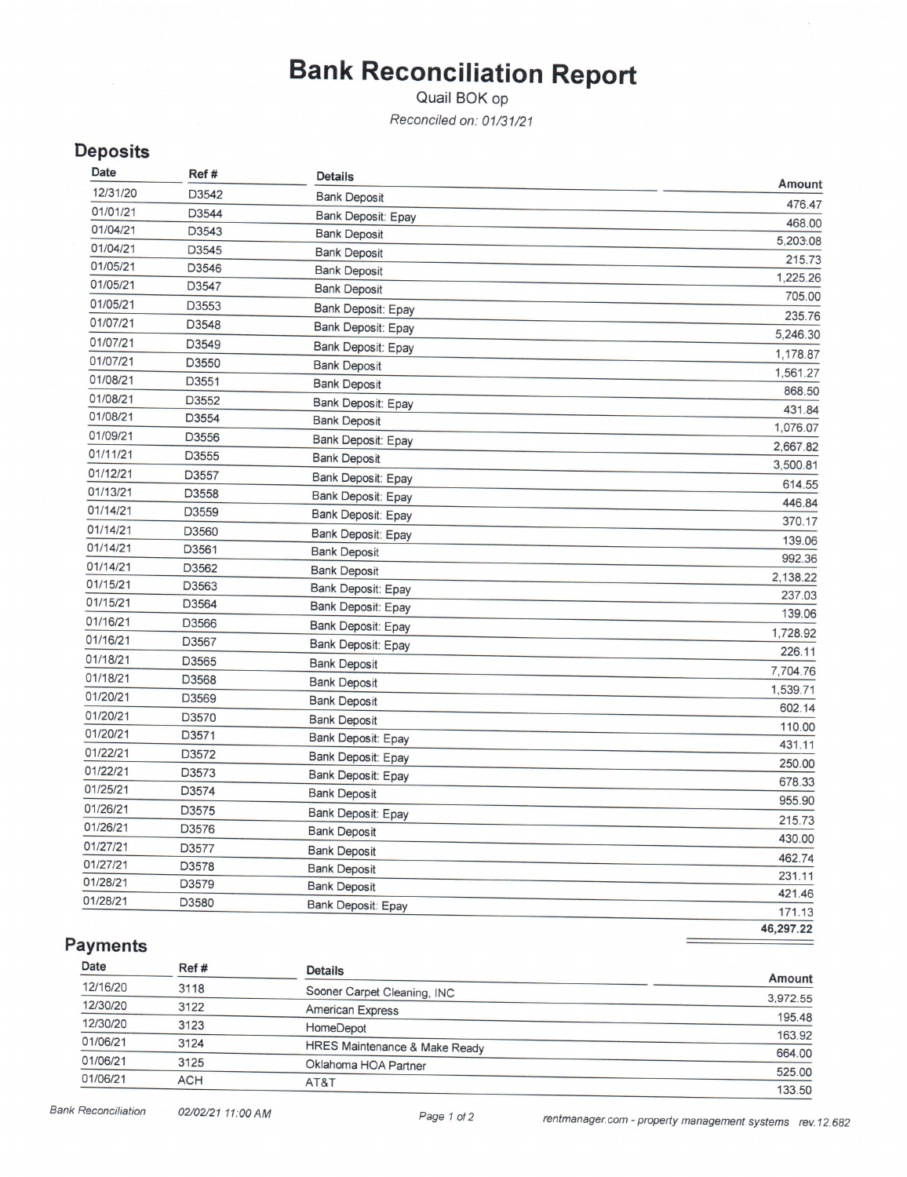# **Bank Reconciliation Report**

Quail BOK op

Reconciled on: 01/31/21

## **Deposits**

| Date     | Ref # | <b>Details</b>      | Amount             |
|----------|-------|---------------------|--------------------|
| 12/31/20 | D3542 | <b>Bank Deposit</b> | 476.47             |
| 01/01/21 | D3544 | Bank Deposit: Epay  | 468.00             |
| 01/04/21 | D3543 | <b>Bank Deposit</b> | 5,203.08           |
| 01/04/21 | D3545 | <b>Bank Deposit</b> |                    |
| 01/05/21 | D3546 | <b>Bank Deposit</b> | 215.73<br>1,225.26 |
| 01/05/21 | D3547 | <b>Bank Deposit</b> | 705.00             |
| 01/05/21 | D3553 | Bank Deposit: Epay  |                    |
| 01/07/21 | D3548 | Bank Deposit: Epay  | 235.76<br>5,246.30 |
| 01/07/21 | D3549 | Bank Deposit: Epay  |                    |
| 01/07/21 | D3550 | <b>Bank Deposit</b> | 1,178.87           |
| 01/08/21 | D3551 | <b>Bank Deposit</b> | 1,561.27<br>868.50 |
| 01/08/21 | D3552 | Bank Deposit: Epay  |                    |
| 01/08/21 | D3554 | <b>Bank Deposit</b> | 431.84             |
| 01/09/21 | D3556 | Bank Deposit: Epay  | 1,076.07           |
| 01/11/21 | D3555 | <b>Bank Deposit</b> | 2,667.82           |
| 01/12/21 | D3557 | Bank Deposit: Epay  | 3,500.81           |
| 01/13/21 | D3558 | Bank Deposit: Epay  | 614.55             |
| 01/14/21 | D3559 | Bank Deposit: Epay  | 446.84<br>370.17   |
| 01/14/21 | D3560 | Bank Deposit: Epay  |                    |
| 01/14/21 | D3561 | <b>Bank Deposit</b> | 139.06<br>992.36   |
| 01/14/21 | D3562 | <b>Bank Deposit</b> |                    |
| 01/15/21 | D3563 | Bank Deposit: Epay  | 2,138.22<br>237.03 |
| 01/15/21 | D3564 | Bank Deposit: Epay  | 139.06             |
| 01/16/21 | D3566 | Bank Deposit: Epay  |                    |
| 01/16/21 | D3567 | Bank Deposit: Epay  | 1,728.92<br>226.11 |
| 01/18/21 | D3565 | <b>Bank Deposit</b> |                    |
| 01/18/21 | D3568 | <b>Bank Deposit</b> | 7,704.76           |
| 01/20/21 | D3569 | <b>Bank Deposit</b> | 1,539.71           |
| 01/20/21 | D3570 | <b>Bank Deposit</b> | 602.14             |
| 01/20/21 | D3571 | Bank Deposit: Epay  | 110.00<br>431.11   |
| 01/22/21 | D3572 | Bank Deposit: Epay  |                    |
| 01/22/21 | D3573 | Bank Deposit: Epay  | 250.00             |
| 01/25/21 | D3574 | <b>Bank Deposit</b> | 678.33<br>955.90   |
| 01/26/21 | D3575 | Bank Deposit: Epay  |                    |
| 01/26/21 | D3576 | <b>Bank Deposit</b> | 215.73             |
| 01/27/21 | D3577 | <b>Bank Deposit</b> | 430.00             |
| 01/27/21 | D3578 | <b>Bank Deposit</b> | 462.74             |
| 01/28/21 | D3579 | <b>Bank Deposit</b> | 231.11             |
| 01/28/21 | D3580 | Bank Deposit: Epay  | 421.46             |
|          |       |                     | 171.13             |

46,297.22

## **Payments**

| Date     | Ref #      | <b>Details</b>                |                  |
|----------|------------|-------------------------------|------------------|
| 12/16/20 | 3118       | Sooner Carpet Cleaning, INC   | Amount           |
| 12/30/20 | 3122       | <b>American Express</b>       | 3,972.55         |
| 12/30/20 | 3123       | HomeDepot                     | 195.48           |
| 01/06/21 | 3124       | HRES Maintenance & Make Ready | 163.92<br>664.00 |
| 01/06/21 | 3125       | Oklahoma HOA Partner          | 525.00           |
| 01/06/21 | <b>ACH</b> | AT&T                          | 133.50           |
|          |            |                               |                  |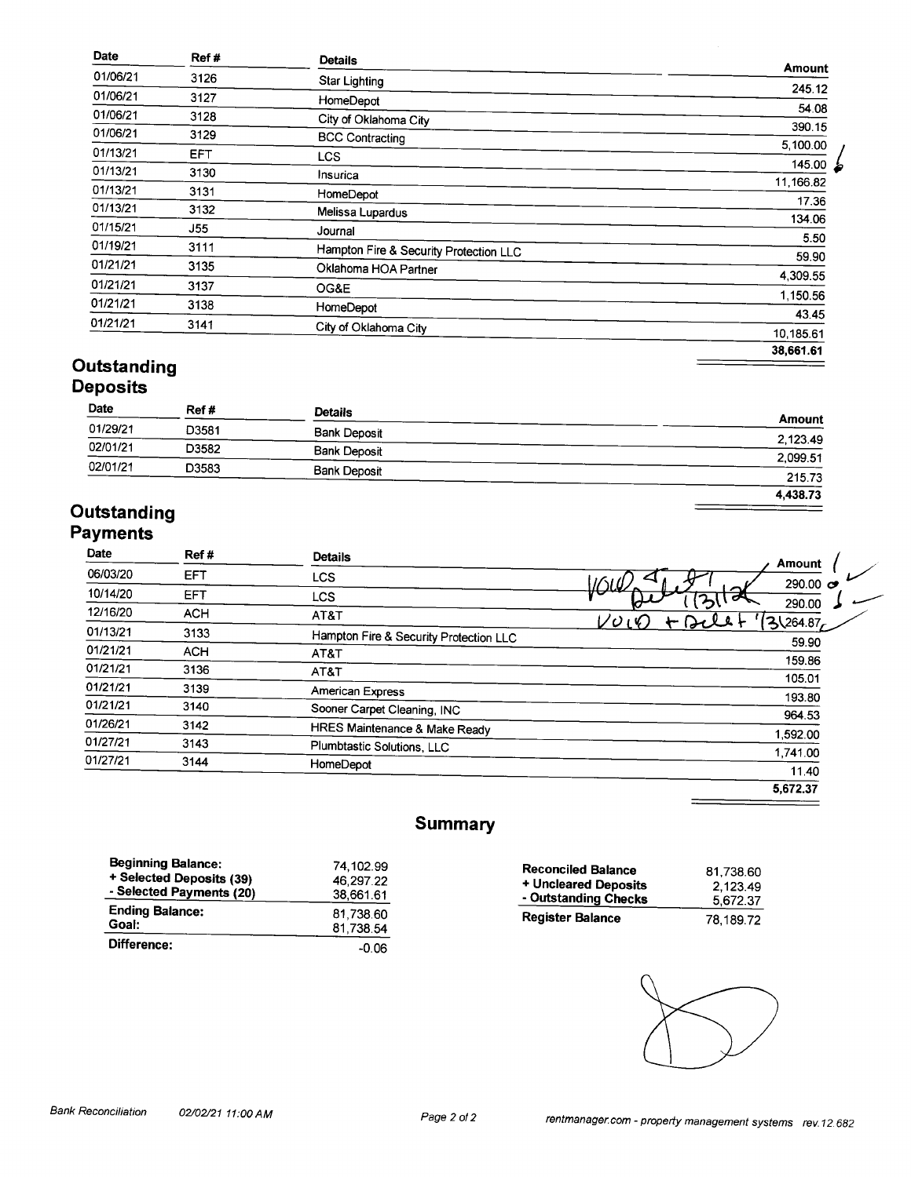| Date     | Ref#       | <b>Details</b>                         | Amount      |
|----------|------------|----------------------------------------|-------------|
| 01/06/21 | 3126       | <b>Star Lighting</b>                   |             |
| 01/06/21 | 3127       | HomeDepot                              | 245.12      |
| 01/06/21 | 3128       | City of Oklahoma City                  | 54.08       |
| 01/06/21 | 3129       | <b>BCC Contracting</b>                 | 390.15      |
| 01/13/21 | EFT.       |                                        | 5,100.00    |
|          |            | <b>LCS</b>                             | 145.00<br>ظ |
| 01/13/21 | 3130       | Insurica                               | 11,166.82   |
| 01/13/21 | 3131       | HomeDepot                              | 17.36       |
| 01/13/21 | 3132       | Melissa Lupardus                       | 134.06      |
| 01/15/21 | <b>J55</b> | Journal                                |             |
| 01/19/21 | 3111       | Hampton Fire & Security Protection LLC | 5.50        |
| 01/21/21 | 3135       | Oklahoma HOA Partner                   | 59.90       |
| 01/21/21 |            |                                        | 4,309.55    |
|          | 3137       | OG&E                                   | 1,150.56    |
| 01/21/21 | 3138       | HomeDepot                              | 43.45       |
| 01/21/21 | 3141       | City of Oklahoma City                  | 10.185.61   |
|          |            |                                        |             |
|          |            |                                        | 38,661.61   |

#### Outstanding **Deposits**

#### Date Ref # **Details Amount** 01/29/21 D3581 **Bank Deposit** 2,123.49  $02/01/21$ D3582 **Bank Deposit**  $2,099.51$  $02/01/21$ D3583 **Bank Deposit** 215.73  $4,438.73$

## Outstanding **Payments**

| Date     | Ref#       | <b>Details</b>                         | <b>Amount</b>             |
|----------|------------|----------------------------------------|---------------------------|
| 06/03/20 | EFT        | <b>LCS</b>                             | 290.00 $\sigma$<br>שטו    |
| 10/14/20 | <b>EFT</b> | LCS.                                   |                           |
| 12/16/20 | <b>ACH</b> | AT&T                                   | 290.00<br>31264.87<br>レのい |
| 01/13/21 | 3133       | Hampton Fire & Security Protection LLC | 59.90                     |
| 01/21/21 | <b>ACH</b> | AT&T                                   |                           |
| 01/21/21 | 3136       | AT&T                                   | 159.86                    |
| 01/21/21 | 3139       | American Express                       | 105.01                    |
| 01/21/21 | 3140       | Sooner Carpet Cleaning, INC            | 193.80                    |
| 01/26/21 | 3142       | HRES Maintenance & Make Ready          | 964.53                    |
| 01/27/21 | 3143       | Plumbtastic Solutions, LLC             | 1,592.00                  |
| 01/27/21 | 3144       |                                        | 1,741.00                  |
|          |            | HomeDepot                              | 11.40                     |
|          |            |                                        | 5,672.37                  |

## **Summary**

| <b>Beginning Balance:</b> | 74,102.99 |
|---------------------------|-----------|
| + Selected Deposits (39)  | 46.297.22 |
| - Selected Payments (20)  | 38,661.61 |
| <b>Ending Balance:</b>    | 81.738.60 |
| Goal:                     | 81,738.54 |
| Difference:               | -0.06     |

| <b>Reconciled Balance</b> | 81,738.60 |
|---------------------------|-----------|
| + Uncleared Deposits      | 2.123.49  |
| - Outstanding Checks      | 5,672.37  |
| <b>Register Balance</b>   | 78.189.72 |
|                           |           |

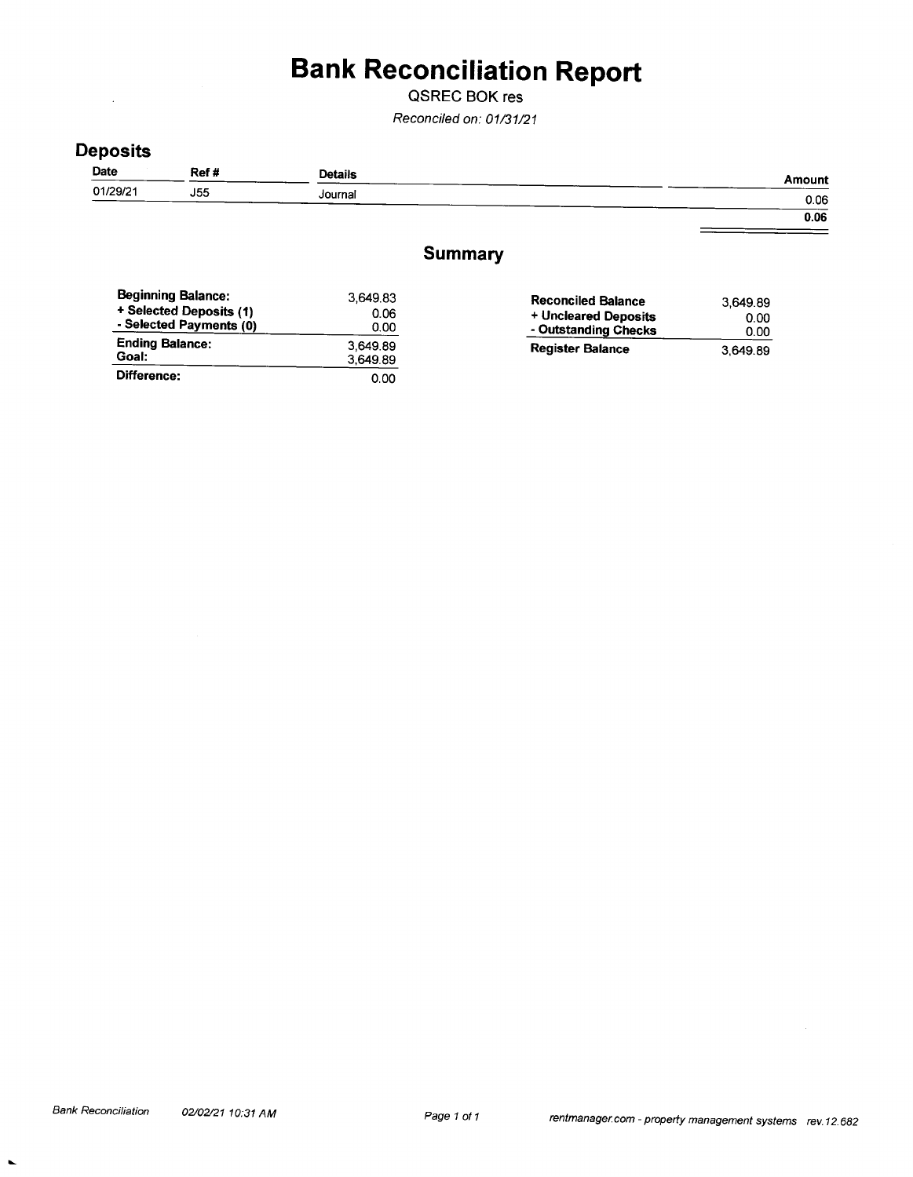# **Bank Reconciliation Report**

QSREC BOK res

Reconciled on: 01/31/21

## **Deposits**

 $\mathbf{r}$ 

| Date     | Ref #      | <b>Details</b> | Amount |
|----------|------------|----------------|--------|
| 01/29/21 | <b>J55</b> | Journal        | 0.06   |
|          |            |                |        |

 $0.06$  $\equiv$ 

## **Summary**

| <b>Beginning Balance:</b><br>+ Selected Deposits (1)<br>- Selected Payments (0) | 3.649.83<br>0.06<br>0.00 | <b>Reconciled Balance</b><br>+ Uncleared Deposits<br>- Outstanding Checks | 3,649.89<br>0.00<br>0.00 |
|---------------------------------------------------------------------------------|--------------------------|---------------------------------------------------------------------------|--------------------------|
| <b>Ending Balance:</b><br>Goal:                                                 | 3.649.89<br>3,649.89     | <b>Register Balance</b>                                                   | 3.649.89                 |
| Difference:                                                                     | 0.00                     |                                                                           |                          |

 $\blacksquare$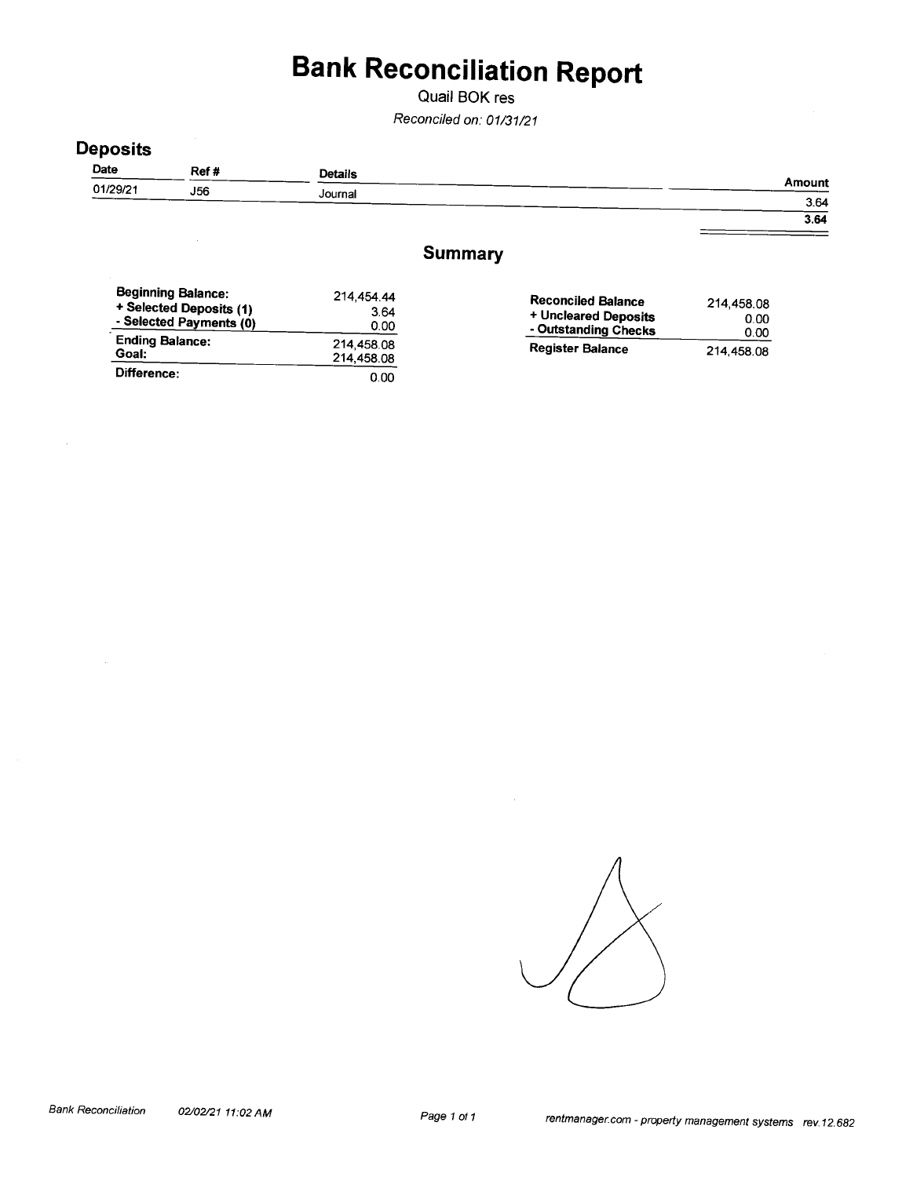# **Bank Reconciliation Report**

Quail BOK res

Reconciled on: 01/31/21

## **Deposits**

| Date     | Ref#       | <b>Details</b> |        |
|----------|------------|----------------|--------|
| 01/29/21 | <b>J56</b> | Journal        | Amount |
|          |            |                | 3.64   |

 $3.64$ 

 $=$ 

#### **Summary**

| <b>Beginning Balance:</b><br>+ Selected Deposits (1)<br>- Selected Payments (0) | 214.454.44<br>3.64<br>0.00 | <b>Reconciled Balance</b><br>+ Uncleared Deposits<br>- Outstanding Checks | 214,458,08<br>0.00<br>0.00 |
|---------------------------------------------------------------------------------|----------------------------|---------------------------------------------------------------------------|----------------------------|
| <b>Ending Balance:</b><br>Goal:                                                 | 214,458.08<br>214,458.08   | <b>Register Balance</b>                                                   | 214,458.08                 |
| Difference:                                                                     | 0.00                       |                                                                           |                            |

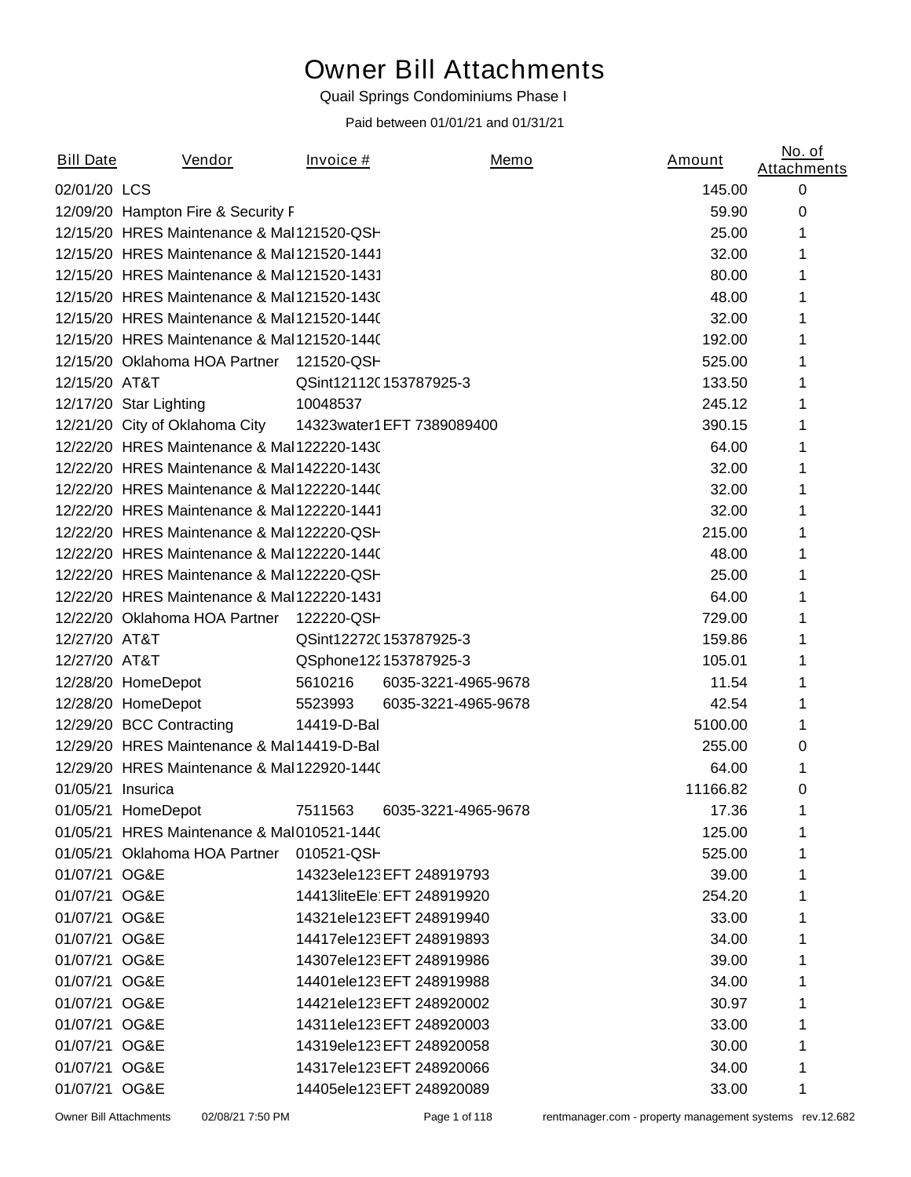# Owner Bill Attachments

#### Quail Springs Condominiums Phase I

#### *Paid between 01/01/21 and 01/31/21*

| <b>Bill Date</b>  | <u>Vendor</u>                               | Invoice#    |                            | Memo | <u>Amount</u> | No. of<br><b>Attachments</b> |
|-------------------|---------------------------------------------|-------------|----------------------------|------|---------------|------------------------------|
| 02/01/20 LCS      |                                             |             |                            |      | 145.00        | 0                            |
|                   | 12/09/20 Hampton Fire & Security F          |             |                            |      | 59.90         | 0                            |
|                   | 12/15/20 HRES Maintenance & Mal 121520-QSH  |             |                            |      | 25.00         | 1                            |
|                   | 12/15/20 HRES Maintenance & Mal 121520-1441 |             |                            |      | 32.00         | 1                            |
|                   | 12/15/20 HRES Maintenance & Mal 121520-1431 |             |                            |      | 80.00         | 1                            |
|                   | 12/15/20 HRES Maintenance & Mal 121520-1430 |             |                            |      | 48.00         | 1                            |
|                   | 12/15/20 HRES Maintenance & Mal 121520-1440 |             |                            |      | 32.00         | 1                            |
|                   | 12/15/20 HRES Maintenance & Mal 121520-1440 |             |                            |      | 192.00        | 1                            |
|                   | 12/15/20 Oklahoma HOA Partner               | 121520-QSH  |                            |      | 525.00        | 1                            |
| 12/15/20 AT&T     |                                             |             | QSint12112C153787925-3     |      | 133.50        | 1                            |
|                   | 12/17/20 Star Lighting                      | 10048537    |                            |      | 245.12        |                              |
|                   | 12/21/20 City of Oklahoma City              |             | 14323water1EFT 7389089400  |      | 390.15        | 1                            |
|                   | 12/22/20 HRES Maintenance & Mal 122220-1430 |             |                            |      | 64.00         | 1                            |
|                   | 12/22/20 HRES Maintenance & Mal 142220-1430 |             |                            |      | 32.00         | 1                            |
|                   | 12/22/20 HRES Maintenance & Mal 122220-1440 |             |                            |      | 32.00         | 1                            |
|                   | 12/22/20 HRES Maintenance & Mal 122220-1441 |             |                            |      | 32.00         | 1                            |
|                   | 12/22/20 HRES Maintenance & Mal 122220-QSH  |             |                            |      | 215.00        | 1                            |
|                   | 12/22/20 HRES Maintenance & Mal 122220-1440 |             |                            |      | 48.00         | 1                            |
|                   | 12/22/20 HRES Maintenance & Mal 122220-QSH  |             |                            |      | 25.00         | 1                            |
|                   | 12/22/20 HRES Maintenance & Mal 122220-1431 |             |                            |      | 64.00         | 1                            |
|                   | 12/22/20 Oklahoma HOA Partner 122220-QSH    |             |                            |      | 729.00        | 1                            |
| 12/27/20 AT&T     |                                             |             | QSint12272C153787925-3     |      | 159.86        | 1                            |
| 12/27/20 AT&T     |                                             |             | QSphone122153787925-3      |      | 105.01        | 1                            |
|                   | 12/28/20 HomeDepot                          | 5610216     | 6035-3221-4965-9678        |      | 11.54         | 1                            |
|                   | 12/28/20 HomeDepot                          | 5523993     | 6035-3221-4965-9678        |      | 42.54         | 1                            |
|                   | 12/29/20 BCC Contracting                    | 14419-D-Bal |                            |      | 5100.00       | 1                            |
|                   | 12/29/20 HRES Maintenance & Mal14419-D-Bal  |             |                            |      | 255.00        | 0                            |
|                   | 12/29/20 HRES Maintenance & Mal 122920-1440 |             |                            |      | 64.00         | 1                            |
| 01/05/21 Insurica |                                             |             |                            |      | 11166.82      | 0                            |
|                   | 01/05/21 HomeDepot                          |             |                            |      | 17.36         | 1                            |
|                   | 01/05/21 HRES Maintenance & Mal010521-1440  |             |                            |      | 125.00        | 1                            |
|                   | 01/05/21 Oklahoma HOA Partner 010521-QSH    |             |                            |      | 525.00        |                              |
| 01/07/21 OG&E     |                                             |             | 14323ele123EFT 248919793   |      | 39.00         |                              |
| 01/07/21 OG&E     |                                             |             | 14413liteEle EFT 248919920 |      | 254.20        |                              |
| 01/07/21 OG&E     |                                             |             | 14321ele123EFT 248919940   |      | 33.00         |                              |
| 01/07/21 OG&E     |                                             |             | 14417ele123EFT 248919893   |      | 34.00         |                              |
| 01/07/21 OG&E     |                                             |             | 14307ele123EFT 248919986   |      | 39.00         |                              |
| 01/07/21 OG&E     |                                             |             | 14401ele123EFT 248919988   |      | 34.00         |                              |
| 01/07/21 OG&E     |                                             |             | 14421ele123EFT 248920002   |      | 30.97         |                              |
| 01/07/21 OG&E     |                                             |             | 14311ele123EFT 248920003   |      | 33.00         |                              |
| 01/07/21 OG&E     |                                             |             | 14319ele123EFT 248920058   |      | 30.00         |                              |
| 01/07/21 OG&E     |                                             |             | 14317ele123EFT 248920066   |      | 34.00         | 1                            |
| 01/07/21 OG&E     |                                             |             | 14405ele123EFT 248920089   |      | 33.00         | 1                            |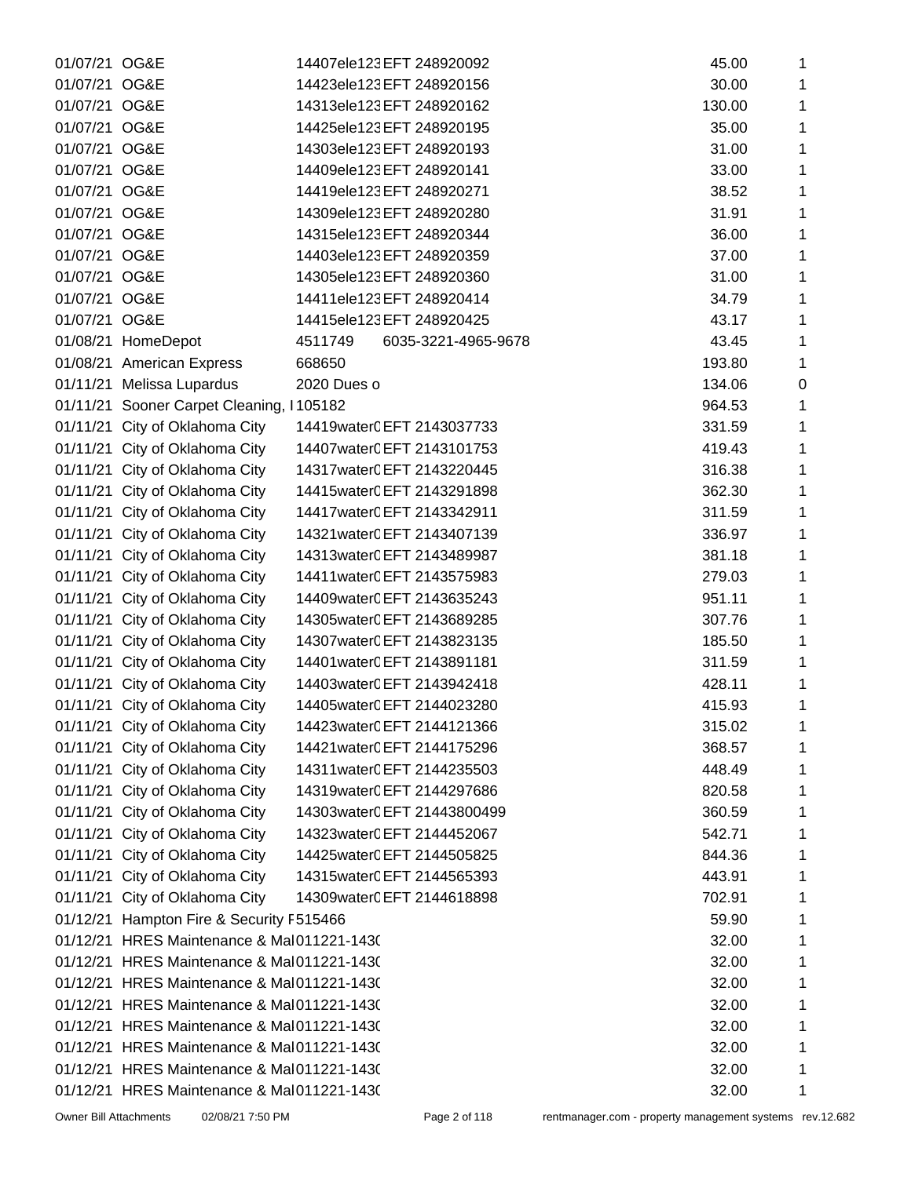| 01/07/21 OG&E |                                            | 14407ele123EFT 248920092       | 45.00  | 1           |
|---------------|--------------------------------------------|--------------------------------|--------|-------------|
| 01/07/21 OG&E |                                            | 14423ele123EFT 248920156       | 30.00  | 1           |
| 01/07/21 OG&E |                                            | 14313ele123EFT 248920162       | 130.00 | 1           |
| 01/07/21 OG&E |                                            | 14425ele123EFT 248920195       | 35.00  | 1           |
| 01/07/21 OG&E |                                            | 14303ele123EFT 248920193       | 31.00  | 1           |
| 01/07/21 OG&E |                                            | 14409ele123EFT 248920141       | 33.00  | 1           |
| 01/07/21 OG&E |                                            | 14419ele123EFT 248920271       | 38.52  | 1           |
| 01/07/21 OG&E |                                            | 14309ele123EFT 248920280       | 31.91  | 1           |
| 01/07/21 OG&E |                                            | 14315ele123EFT 248920344       | 36.00  | 1           |
| 01/07/21 OG&E |                                            | 14403ele123EFT 248920359       | 37.00  | 1           |
| 01/07/21 OG&E |                                            | 14305ele123EFT 248920360       | 31.00  | 1           |
| 01/07/21 OG&E |                                            | 14411ele123EFT 248920414       | 34.79  | 1           |
| 01/07/21 OG&E |                                            | 14415ele123EFT 248920425       | 43.17  | 1           |
|               | 01/08/21 HomeDepot                         | 6035-3221-4965-9678<br>4511749 | 43.45  | 1           |
|               | 01/08/21 American Express                  | 668650                         | 193.80 | 1           |
|               | 01/11/21 Melissa Lupardus                  | 2020 Dues o                    | 134.06 | $\mathbf 0$ |
|               | 01/11/21 Sooner Carpet Cleaning, I105182   |                                | 964.53 | 1           |
|               | 01/11/21 City of Oklahoma City             | 14419water0EFT 2143037733      | 331.59 | 1           |
|               | 01/11/21 City of Oklahoma City             | 14407water0EFT 2143101753      | 419.43 | 1           |
|               | 01/11/21 City of Oklahoma City             | 14317water0EFT 2143220445      | 316.38 | 1           |
|               | 01/11/21 City of Oklahoma City             | 14415water0EFT 2143291898      | 362.30 | 1           |
|               | 01/11/21 City of Oklahoma City             | 14417water0EFT 2143342911      | 311.59 | 1           |
|               | 01/11/21 City of Oklahoma City             | 14321water0EFT 2143407139      | 336.97 | 1           |
|               | 01/11/21 City of Oklahoma City             | 14313water0EFT 2143489987      | 381.18 | 1           |
|               | 01/11/21 City of Oklahoma City             | 14411water0EFT 2143575983      | 279.03 | 1           |
|               | 01/11/21 City of Oklahoma City             | 14409water0EFT 2143635243      | 951.11 | 1           |
|               | 01/11/21 City of Oklahoma City             | 14305water0EFT 2143689285      | 307.76 | 1           |
|               | 01/11/21 City of Oklahoma City             | 14307water0EFT 2143823135      | 185.50 | 1           |
|               | 01/11/21 City of Oklahoma City             | 14401water0EFT 2143891181      | 311.59 | 1           |
|               | 01/11/21 City of Oklahoma City             | 14403water0EFT 2143942418      | 428.11 | 1           |
|               | 01/11/21 City of Oklahoma City             | 14405water0EFT 2144023280      | 415.93 | 1           |
|               | 01/11/21 City of Oklahoma City             | 14423water0EFT 2144121366      | 315.02 | 1           |
|               | 01/11/21 City of Oklahoma City             | 14421water0EFT 2144175296      | 368.57 | 1           |
|               | 01/11/21 City of Oklahoma City             | 14311water0EFT 2144235503      | 448.49 | 1           |
|               | 01/11/21 City of Oklahoma City             | 14319water0EFT 2144297686      | 820.58 | 1           |
|               | 01/11/21 City of Oklahoma City             | 14303water0EFT 21443800499     | 360.59 | 1           |
|               | 01/11/21 City of Oklahoma City             | 14323water0EFT 2144452067      | 542.71 | 1           |
|               | 01/11/21 City of Oklahoma City             | 14425water0EFT 2144505825      | 844.36 | 1           |
|               | 01/11/21 City of Oklahoma City             | 14315water0EFT 2144565393      | 443.91 | 1           |
|               | 01/11/21 City of Oklahoma City             | 14309water0EFT 2144618898      | 702.91 | 1           |
|               | 01/12/21 Hampton Fire & Security F515466   |                                | 59.90  | 1           |
|               | 01/12/21 HRES Maintenance & Mal011221-1430 |                                | 32.00  | 1           |
|               | 01/12/21 HRES Maintenance & Mal011221-1430 |                                | 32.00  | 1           |
|               | 01/12/21 HRES Maintenance & Mal011221-1430 |                                | 32.00  | 1           |
|               | 01/12/21 HRES Maintenance & Mal011221-1430 |                                | 32.00  | 1           |
|               | 01/12/21 HRES Maintenance & Mal011221-1430 |                                | 32.00  | 1           |
|               | 01/12/21 HRES Maintenance & Mal011221-1430 |                                | 32.00  | 1           |
|               | 01/12/21 HRES Maintenance & Mal011221-1430 |                                | 32.00  | 1           |
|               | 01/12/21 HRES Maintenance & Mal011221-1430 |                                | 32.00  | 1           |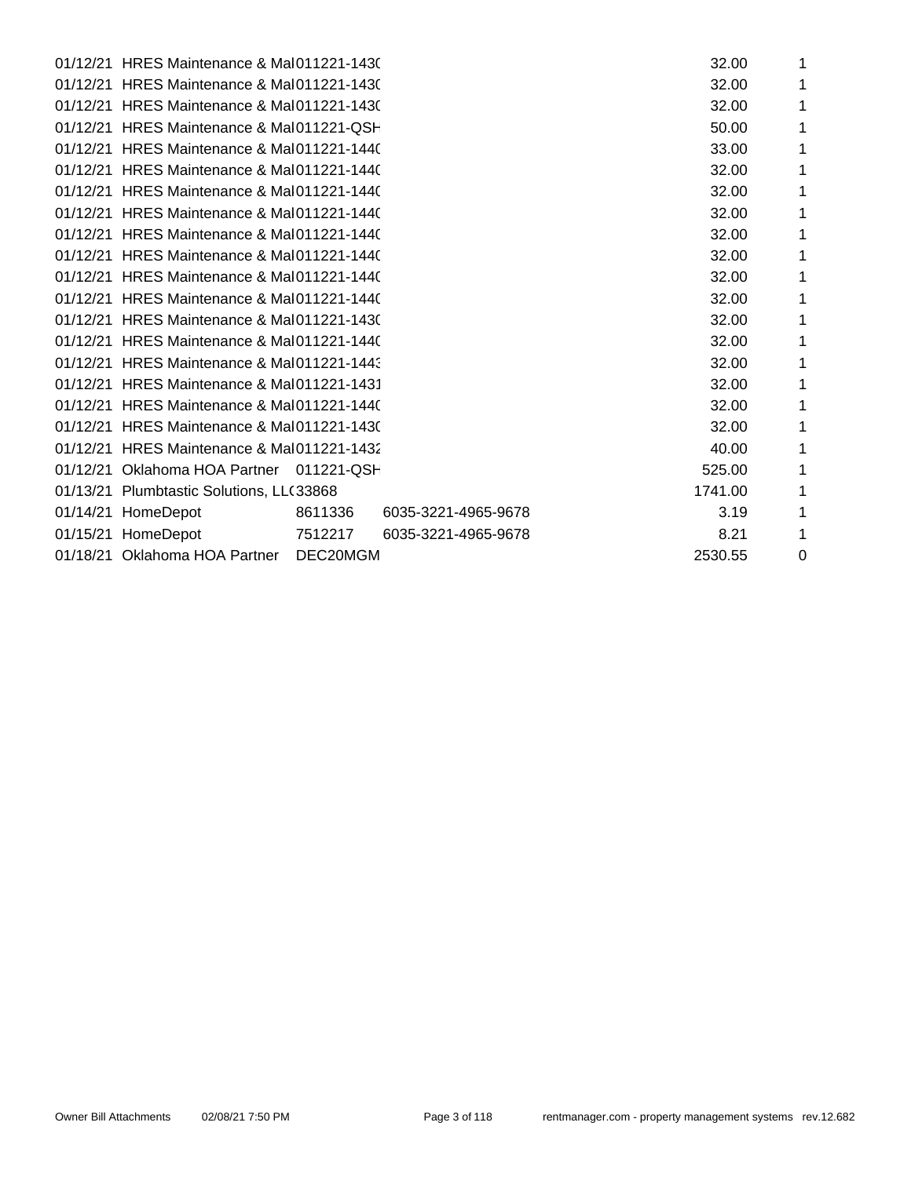| 01/12/21 HRES Maintenance & Mal011221-1430 |          |                     | 32.00   | 1 |
|--------------------------------------------|----------|---------------------|---------|---|
| 01/12/21 HRES Maintenance & Mal011221-1430 |          |                     | 32.00   | 1 |
| 01/12/21 HRES Maintenance & Mal011221-1430 |          |                     | 32.00   | 1 |
| 01/12/21 HRES Maintenance & Mal011221-QSH  |          |                     | 50.00   | 1 |
| 01/12/21 HRES Maintenance & Mal011221-1440 |          |                     | 33.00   | 1 |
| 01/12/21 HRES Maintenance & Mal011221-1440 |          |                     | 32.00   | 1 |
| 01/12/21 HRES Maintenance & Mal011221-1440 |          |                     | 32.00   | 1 |
| 01/12/21 HRES Maintenance & Mal011221-1440 |          |                     | 32.00   | 1 |
| 01/12/21 HRES Maintenance & Mal011221-1440 |          |                     | 32.00   | 1 |
| 01/12/21 HRES Maintenance & Mal011221-1440 |          |                     | 32.00   | 1 |
| 01/12/21 HRES Maintenance & Mal011221-1440 |          |                     | 32.00   | 1 |
| 01/12/21 HRES Maintenance & Mal011221-1440 |          |                     | 32.00   | 1 |
| 01/12/21 HRES Maintenance & Mal011221-1430 |          |                     | 32.00   | 1 |
| 01/12/21 HRES Maintenance & Mal011221-1440 |          |                     | 32.00   | 1 |
| 01/12/21 HRES Maintenance & Mal011221-1443 |          |                     | 32.00   | 1 |
| 01/12/21 HRES Maintenance & Mal011221-1431 |          |                     | 32.00   | 1 |
| 01/12/21 HRES Maintenance & Mal011221-1440 |          |                     | 32.00   | 1 |
| 01/12/21 HRES Maintenance & Mal011221-1430 |          |                     | 32.00   | 1 |
| 01/12/21 HRES Maintenance & Mal011221-1432 |          |                     | 40.00   | 1 |
| 01/12/21 Oklahoma HOA Partner 011221-QSH   |          |                     | 525.00  | 1 |
| 01/13/21 Plumbtastic Solutions, LLC33868   |          |                     | 1741.00 | 1 |
| 01/14/21 HomeDepot                         | 8611336  | 6035-3221-4965-9678 | 3.19    | 1 |
| 01/15/21 HomeDepot                         | 7512217  | 6035-3221-4965-9678 | 8.21    | 1 |
| 01/18/21 Oklahoma HOA Partner              | DEC20MGM |                     | 2530.55 | 0 |